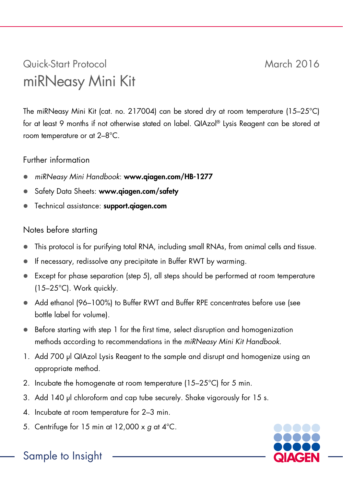## Quick-Start Protocol March 2016 miRNeasy Mini Kit

The miRNeasy Mini Kit (cat. no. 217004) can be stored dry at room temperature (15–25°C) for at least 9 months if not otherwise stated on label. QIAzol® Lysis Reagent can be stored at room temperature or at 2–8°C.

## Further information

- *miRNeasy Mini Handbook*: www.qiagen.com/HB-1277
- Safety Data Sheets: www.giagen.com/safety
- Technical assistance: support.qiagen.com

## Notes before starting

- This protocol is for purifying total RNA, including small RNAs, from animal cells and tissue.
- If necessary, redissolve any precipitate in Buffer RWT by warming.
- Except for phase separation (step 5), all steps should be performed at room temperature (15–25°C). Work quickly.
- Add ethanol (96–100%) to Buffer RWT and Buffer RPE concentrates before use (see bottle label for volume).
- Before starting with step 1 for the first time, select disruption and homogenization methods according to recommendations in the *miRNeasy Mini Kit Handbook*.
- 1. Add 700 µl QIAzol Lysis Reagent to the sample and disrupt and homogenize using an appropriate method.
- 2. Incubate the homogenate at room temperature (15–25°C) for 5 min.
- 3. Add 140 µl chloroform and cap tube securely. Shake vigorously for 15 s.
- 4. Incubate at room temperature for 2–3 min.
- 5. Centrifuge for 15 min at 12,000 x *g* at 4°C.



## Sample to Insight